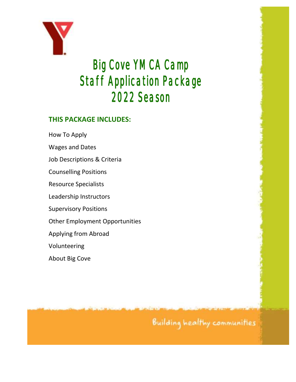

# Big Cove YMCA Camp Staff Application Package 2022 Season

#### **THIS PACKAGE INCLUDES:**

How To Apply

Wages and Dates

Job Descriptions & Criteria

Counselling Positions

Resource Specialists

Leadership Instructors

Supervisory Positions

Other Employment Opportunities

Applying from Abroad

Volunteering

About Big Cove

Building healthy communities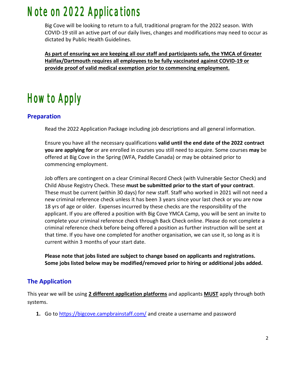### Note on 2022 Applications

Big Cove will be looking to return to a full, traditional program for the 2022 season. With COVID-19 still an active part of our daily lives, changes and modifications may need to occur as dictated by Public Health Guidelines.

**As part of ensuring we are keeping all our staff and participants safe, the YMCA of Greater Halifax/Dartmouth requires all employees to be fully vaccinated against COVID-19 or provide proof of valid medical exemption prior to commencing employment.**

# How to Apply

#### **Preparation**

Read the 2022 Application Package including job descriptions and all general information.

Ensure you have all the necessary qualifications **valid until the end date of the 2022 contract you are applying for** or are enrolled in courses you still need to acquire. Some courses **may** be offered at Big Cove in the Spring (WFA, Paddle Canada) or may be obtained prior to commencing employment.

Job offers are contingent on a clear Criminal Record Check (with Vulnerable Sector Check) and Child Abuse Registry Check. These **must be submitted prior to the start of your contract**. These must be current (within 30 days) for new staff. Staff who worked in 2021 will not need a new criminal reference check unless it has been 3 years since your last check or you are now 18 yrs of age or older. Expenses incurred by these checks are the responsibility of the applicant. If you are offered a position with Big Cove YMCA Camp, you will be sent an invite to complete your criminal reference check through Back Check online. Please do not complete a criminal reference check before being offered a position as further instruction will be sent at that time. If you have one completed for another organisation, we can use it, so long as it is current within 3 months of your start date.

**Please note that jobs listed are subject to change based on applicants and registrations. Some jobs listed below may be modified/removed prior to hiring or additional jobs added.**

#### **The Application**

This year we will be using **2 different application platforms** and applicants **MUST** apply through both systems.

**1.** Go to<https://bigcove.campbrainstaff.com/> and create a username and password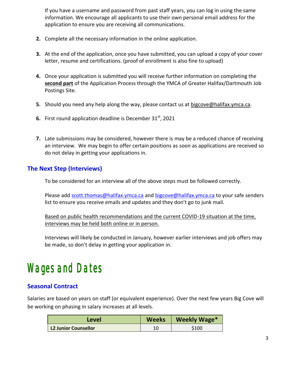If you have a username and password from past staff years, you can log in using the same information. We encourage all applicants to use their own personal email address for the application to ensure you are receiving all communications.

- **2.** Complete all the necessary information in the online application.
- **3.** At the end of the application, once you have submitted, you can upload a copy of your cover letter, resume and certifications. (proof of enrollment is also fine to upload)
- **4.** Once your application is submitted you will receive further information on completing the **second part** of the Application Process through the YMCA of Greater Halifax/Dartmouth Job Postings Site.
- **5.** Should you need any help along the way, please contact us at bigcove@halifax.ymca.ca.
- **6.** First round application deadline is December 31st, 2021
- **7.** Late submissions may be considered, however there is may be a reduced chance of receiving an interview. We may begin to offer certain positions as soon as applications are received so do not delay in getting your applications in.

#### **The Next Step (Interviews)**

To be considered for an interview all of the above steps must be followed correctly.

Please add [scott.thomas@halifax.ymca.ca](mailto:scott.thomas@halifax.ymca.ca) and [bigcove@halifax.ymca.ca](mailto:bigcove@halifax.ymca.ca) to your safe senders list to ensure you receive emails and updates and they don't go to junk mail.

Based on public health recommendations and the current COVID-19 situation at the time, interviews may be held both online or in person.

Interviews will likely be conducted in January, however earlier interviews and job offers may be made, so don't delay in getting your application in.

### Wages and Dates

#### **Seasonal Contract**

Salaries are based on years on staff (or equivalent experience). Over the next few years Big Cove will be working on phasing in salary increases at all levels.

| Level                       | <b>Weeks</b> | Weekly Wage* |
|-----------------------------|--------------|--------------|
| <b>L2 Junior Counsellor</b> |              | \$100        |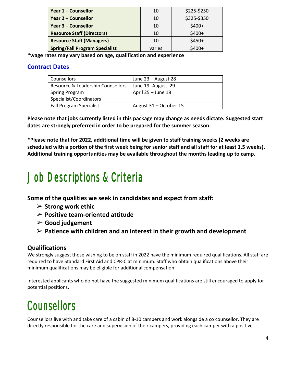| Year 1 – Counsellor                   | 10     | \$225-\$250 |
|---------------------------------------|--------|-------------|
| <b>Year 2 - Counsellor</b>            | 10     | \$325-\$350 |
| <b>Year 3 - Counsellor</b>            | 10     | $$400+$     |
| <b>Resource Staff (Directors)</b>     | 10     | $$400+$     |
| <b>Resource Staff (Managers)</b>      | 10     | $$450+$     |
| <b>Spring/Fall Program Specialist</b> | varies | $$400+$     |

**\*wage rates may vary based on age, qualification and experience**

#### **Contract Dates**

| Counsellors                       | June 23 – August 28    |
|-----------------------------------|------------------------|
| Resource & Leadership Counsellors | June 19- August 29     |
| <b>Spring Program</b>             | April $25 -$ June 18   |
| Specialist/Coordinators           |                        |
| <b>Fall Program Specialist</b>    | August 31 - October 15 |

**Please note that jobs currently listed in this package may change as needs dictate. Suggested start dates are strongly preferred in order to be prepared for the summer season.**

**\*Please note that for 2022, additional time will be given to staff training weeks (2 weeks are scheduled with a portion of the first week being for senior staff and all staff for at least 1.5 weeks). Additional training opportunities may be available throughout the months leading up to camp.**

## Job Descriptions & Criteria

**Some of the qualities we seek in candidates and expect from staff:**

- ➢ **Strong work ethic**
- ➢ **Positive team-oriented attitude**
- ➢ **Good judgement**
- ➢ **Patience with children and an interest in their growth and development**

#### **Qualifications**

We strongly suggest those wishing to be on staff in 2022 have the minimum required qualifications. All staff are required to have Standard First Aid and CPR-C at minimum. Staff who obtain qualifications above their minimum qualifications may be eligible for additional compensation.

Interested applicants who do not have the suggested minimum qualifications are still encouraged to apply for potential positions.

## **Counsellors**

Counsellors live with and take care of a cabin of 8-10 campers and work alongside a co counsellor. They are directly responsible for the care and supervision of their campers, providing each camper with a positive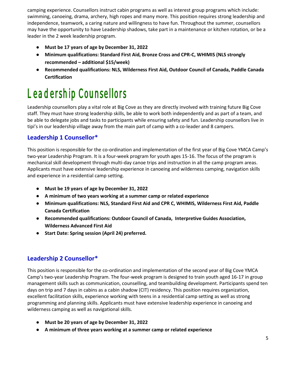camping experience. Counsellors instruct cabin programs as well as interest group programs which include: swimming, canoeing, drama, archery, high ropes and many more. This position requires strong leadership and independence, teamwork, a caring nature and willingness to have fun. Throughout the summer, counsellors may have the opportunity to have Leadership shadows, take part in a maintenance or kitchen rotation, or be a leader in the 2 week leadership program.

- **Must be 17 years of age by December 31, 2022**
- **Minimum qualifications: Standard First Aid, Bronze Cross and CPR-C, WHIMIS (NLS strongly recommended – additional \$15/week)**
- **Recommended qualifications: NLS, Wilderness First Aid, Outdoor Council of Canada, Paddle Canada Certification**

## Leadership Counsellors

Leadership counsellors play a vital role at Big Cove as they are directly involved with training future Big Cove staff. They must have strong leadership skills, be able to work both independently and as part of a team, and be able to delegate jobs and tasks to participants while ensuring safety and fun. Leadership counsellors live in tipi's in our leadership village away from the main part of camp with a co-leader and 8 campers.

#### **Leadership 1 Counsellor\***

This position is responsible for the co-ordination and implementation of the first year of Big Cove YMCA Camp's two-year Leadership Program. It is a four-week program for youth ages 15-16. The focus of the program is mechanical skill development through multi-day canoe trips and instruction in all the camp program areas. Applicants must have extensive leadership experience in canoeing and wilderness camping, navigation skills and experience in a residential camp setting.

- **Must be 19 years of age by December 31, 2022**
- **A minimum of two years working at a summer camp or related experience**
- **Minimum qualifications: NLS, Standard First Aid and CPR C, WHIMIS, Wilderness First Aid, Paddle Canada Certification**
- **Recommended qualifications: Outdoor Council of Canada, Interpretive Guides Association, Wilderness Advanced First Aid**
- **Start Date: Spring session (April 24) preferred.**

#### **Leadership 2 Counsellor\***

This position is responsible for the co-ordination and implementation of the second year of Big Cove YMCA Camp's two-year Leadership Program. The four-week program is designed to train youth aged 16-17 in group management skills such as communication, counselling, and teambuilding development. Participants spend ten days on trip and 7 days in cabins as a cabin shadow (CIT) residency. This position requires organization, excellent facilitation skills, experience working with teens in a residential camp setting as well as strong programming and planning skills. Applicants must have extensive leadership experience in canoeing and wilderness camping as well as navigational skills.

- **Must be 20 years of age by December 31, 2022**
- **A minimum of three years working at a summer camp or related experience**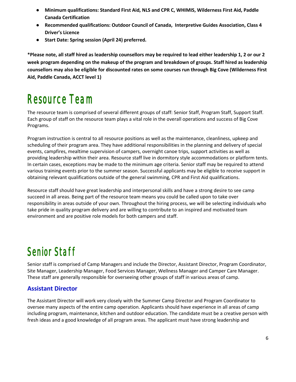- **Minimum qualifications: Standard First Aid, NLS and CPR C, WHIMIS, Wilderness First Aid, Paddle Canada Certification**
- **Recommended qualifications: Outdoor Council of Canada, Interpretive Guides Association, Class 4 Driver's Licence**
- **Start Date: Spring session (April 24) preferred.**

**\*Please note, all staff hired as leadership counsellors may be required to lead either leadership 1, 2 or our 2 week program depending on the makeup of the program and breakdown of groups. Staff hired as leadership counsellors may also be eligible for discounted rates on some courses run through Big Cove (Wilderness First Aid, Paddle Canada, ACCT level 1)**

## Resource Team

The resource team is comprised of several different groups of staff: Senior Staff, Program Staff, Support Staff. Each group of staff on the resource team plays a vital role in the overall operations and success of Big Cove Programs.

Program instruction is central to all resource positions as well as the maintenance, cleanliness, upkeep and scheduling of their program area. They have additional responsibilities in the planning and delivery of special events, campfires, mealtime supervision of campers, overnight canoe trips, support activities as well as providing leadership within their area. Resource staff live in dormitory style accommodations or platform tents. In certain cases, exceptions may be made to the minimum age criteria. Senior staff may be required to attend various training events prior to the summer season. Successful applicants may be eligible to receive support in obtaining relevant qualifications outside of the general swimming, CPR and First Aid qualifications.

Resource staff should have great leadership and interpersonal skills and have a strong desire to see camp succeed in all areas. Being part of the resource team means you could be called upon to take over responsibility in areas outside of your own. Throughout the hiring process, we will be selecting individuals who take pride in quality program delivery and are willing to contribute to an inspired and motivated team environment and are positive role models for both campers and staff.

### Senior Staff

Senior staff is comprised of Camp Managers and include the Director, Assistant Director, Program Coordinator, Site Manager, Leadership Manager, Food Services Manager, Wellness Manager and Camper Care Manager. These staff are generally responsible for overseeing other groups of staff in various areas of camp.

#### **Assistant Director**

The Assistant Director will work very closely with the Summer Camp Director and Program Coordinator to oversee many aspects of the entire camp operation. Applicants should have experience in all areas of camp including program, maintenance, kitchen and outdoor education. The candidate must be a creative person with fresh ideas and a good knowledge of all program areas. The applicant must have strong leadership and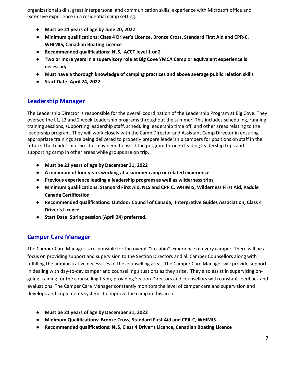organizational skills, great interpersonal and communication skills, experience with Microsoft office and extensive experience in a residential camp setting.

- **Must be 21 years of age by June 20, 2022**
- **Minimum qualifications: Class 4 Driver's Licence, Bronze Cross, Standard First Aid and CPR-C, WHIMIS, Canadian Boating Licence**
- **Recommended qualifications: NLS, ACCT level 1 or 2**
- **Two or more years in a supervisory role at Big Cove YMCA Camp or equivalent experience is necessary**
- **Must have a thorough knowledge of camping practices and above average public relation skills**
- **Start Date: April 24, 2022.**

#### **Leadership Manager**

The Leadership Director is responsible for the overall coordination of the Leadership Program at Big Cove. They oversee the L1, L2 and 2 week Leadership programs throughout the summer. This includes scheduling, running training sessions, supporting leadership staff, scheduling leadership time off, and other areas relating to the leadership program. They will work closely with the Camp Director and Assistant Camp Director in ensuring appropriate trainings are being delivered to properly prepare leadership campers for positions on staff in the future. The Leadership Director may need to assist the program through leading leadership trips and supporting camp in other areas while groups are on trip.

- **Must be 21 years of age by December 31, 2022**
- **A minimum of four years working at a summer camp or related experience**
- **Previous experience leading a leadership program as well as wilderness trips.**
- **Minimum qualifications: Standard First Aid, NLS and CPR C, WHIMIS, Wilderness First Aid, Paddle Canada Certification**
- **Recommended qualifications: Outdoor Council of Canada, Interpretive Guides Association, Class 4 Driver's Licence**
- **Start Date: Spring session (April 24) preferred.**

#### **Camper Care Manager**

The Camper Care Manager is responsible for the overall "in cabin" experience of every camper. There will be a focus on providing support and supervision to the Section Directors and all Camper Counsellors along with fulfilling the administrative necessities of the counselling area. The Camper Care Manager will provide support in dealing with day-to-day camper and counselling situations as they arise. They also assist in supervising ongoing training for the counselling team, providing Section Directors and counsellors with constant feedback and evaluations. The Camper Care Manager constantly monitors the level of camper care and supervision and develops and implements systems to improve the camp in this area.

- **Must be 21 years of age by December 31, 2022**
- **Minimum Qualifications: Bronze Cross, Standard First Aid and CPR-C, WHIMIS**
- **Recommended qualifications: NLS, Class 4 Driver's Licence, Canadian Boating Licence**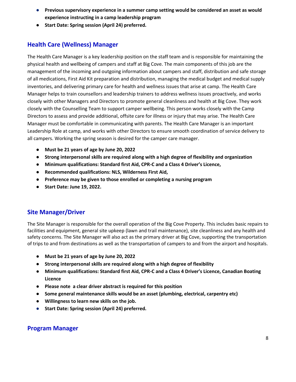- **Previous supervisory experience in a summer camp setting would be considered an asset as would experience instructing in a camp leadership program**
- **Start Date: Spring session (April 24) preferred.**

#### **Health Care (Wellness) Manager**

The Health Care Manager is a key leadership position on the staff team and is responsible for maintaining the physical health and wellbeing of campers and staff at Big Cove. The main components of this job are the management of the incoming and outgoing information about campers and staff, distribution and safe storage of all medications, First Aid Kit preparation and distribution, managing the medical budget and medical supply inventories, and delivering primary care for health and wellness issues that arise at camp. The Health Care Manager helps to train counsellors and leadership trainers to address wellness issues proactively, and works closely with other Managers and Directors to promote general cleanliness and health at Big Cove. They work closely with the Counselling Team to support camper wellbeing. This person works closely with the Camp Directors to assess and provide additional, offsite care for illness or injury that may arise. The Health Care Manager must be comfortable in communicating with parents. The Health Care Manager is an important Leadership Role at camp, and works with other Directors to ensure smooth coordination of service delivery to all campers. Working the spring season is desired for the camper care manager.

- **Must be 21 years of age by June 20, 2022**
- **Strong interpersonal skills are required along with a high degree of flexibility and organization**
- **Minimum qualifications: Standard first Aid, CPR-C and a Class 4 Driver's Licence,**
- **Recommended qualifications: NLS, Wilderness First Aid,**
- **Preference may be given to those enrolled or completing a nursing program**
- **Start Date: June 19, 2022.**

#### **Site Manager/Driver**

The Site Manager is responsible for the overall operation of the Big Cove Property. This includes basic repairs to facilities and equipment, general site upkeep (lawn and trail maintenance), site cleanliness and any health and safety concerns. The Site Manager will also act as the primary driver at Big Cove, supporting the transportation of trips to and from destinations as well as the transportation of campers to and from the airport and hospitals.

- **Must be 21 years of age by June 20, 2022**
- **Strong interpersonal skills are required along with a high degree of flexibility**
- **Minimum qualifications: Standard first Aid, CPR-C and a Class 4 Driver's Licence, Canadian Boating Licence**
- **Please note a clear driver abstract is required for this position**
- **Some general maintenance skills would be an asset (plumbing, electrical, carpentry etc)**
- **Willingness to learn new skills on the job.**
- **Start Date: Spring session (April 24) preferred.**

#### **Program Manager**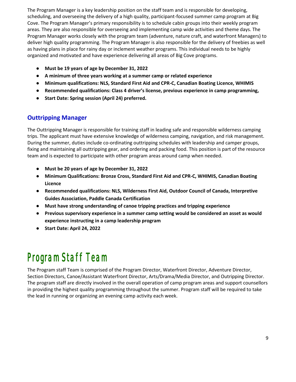The Program Manager is a key leadership position on the staff team and is responsible for developing, scheduling, and overseeing the delivery of a high quality, participant-focused summer camp program at Big Cove. The Program Manager's primary responsibility is to schedule cabin groups into their weekly program areas. They are also responsible for overseeing and implementing camp wide activities and theme days. The Program Manager works closely with the program team (adventure, nature craft, and waterfront Managers) to deliver high quality programming. The Program Manager is also responsible for the delivery of freebies as well as having plans in place for rainy day or inclement weather programs. This individual needs to be highly organized and motivated and have experience delivering all areas of Big Cove programs.

- **Must be 19 years of age by December 31, 2022**
- **A minimum of three years working at a summer camp or related experience**
- **Minimum qualifications: NLS, Standard First Aid and CPR-C, Canadian Boating Licence, WHIMIS**
- **Recommended qualifications: Class 4 driver's license, previous experience in camp programming,**
- **Start Date: Spring session (April 24) preferred.**

#### **Outtripping Manager**

The Outtripping Manager is responsible for training staff in leading safe and responsible wilderness camping trips. The applicant must have extensive knowledge of wilderness camping, navigation, and risk management. During the summer, duties include co-ordinating outtripping schedules with leadership and camper groups, fixing and maintaining all outtripping gear, and ordering and packing food. This position is part of the resource team and is expected to participate with other program areas around camp when needed.

- **Must be 20 years of age by December 31, 2022**
- **Minimum Qualifications: Bronze Cross, Standard First Aid and CPR-C, WHIMIS, Canadian Boating Licence**
- **Recommended qualifications: NLS, Wilderness First Aid, Outdoor Council of Canada, Interpretive Guides Association, Paddle Canada Certification**
- **Must have strong understanding of canoe tripping practices and tripping experience**
- **Previous supervisory experience in a summer camp setting would be considered an asset as would experience instructing in a camp leadership program**
- **Start Date: April 24, 2022**

### Program Staff Team

The Program staff Team is comprised of the Program Director, Waterfront Director, Adventure Director, Section Directors, Canoe/Assistant Waterfront Director, Arts/Drama/Media Director, and Outripping Director. The program staff are directly involved in the overall operation of camp program areas and support counsellors in providing the highest quality programming throughout the summer. Program staff will be required to take the lead in running or organizing an evening camp activity each week.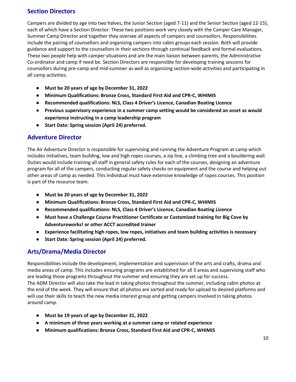#### **Section Directors**

Campers are divided by age into two halves, the Junior Section (aged 7-11) and the Senior Section (aged 12-15), each of which have a Section Director. These two positions work very closely with the Camper Care Manager, Summer Camp Director and together they oversee all aspects of campers and counsellors. Responsibilities include the pairing of counsellors and organizing campers into cabin groups each session. Both will provide guidance and support to the counsellors in their sections through continual feedback and formal evaluations. These two people help with camper situations and are the main liaison between parents, the Administrative Co-ordinator and camp if need be. Section Directors are responsible for developing training sessions for counsellors during pre-camp and mid-summer as well as organizing section-wide activities and participating in all camp activities.

- **Must be 20 years of age by December 31, 2022**
- **Minimum Qualifications: Bronze Cross, Standard First Aid and CPR-C, WHIMIS**
- **Recommended qualifications: NLS, Class 4 Driver's Licence, Canadian Boating Licence**
- **Previous supervisory experience in a summer camp setting would be considered an asset as would experience instructing in a camp leadership program**
- **Start Date: Spring session (April 24) preferred.**

#### **Adventure Director**

The Air Adventure Director is responsible for supervising and running the Adventure Program at camp which includes initiatives, team building, low and high ropes courses, a zip line, a climbing tree and a bouldering wall. Duties would include training all staff in general safety rules for each of the courses, designing an adventure program for all of the campers, conducting regular safety checks on equipment and the course and helping out other areas of camp as needed. This individual must have extensive knowledge of ropes courses. This position is part of the resource team.

- **Must be 20 years of age by December 31, 2022**
- **Minimum Qualifications: Bronze Cross, Standard First Aid and CPR-C, WHIMIS**
- **Recommended qualifications: NLS, Class 4 Driver's Licence, Canadian Boating Licence**
- **Must have a Challenge Course Practitioner Certificate or Customized training for Big Cove by Adventureworks! or other ACCT accredited trainer**
- **Experience facilitating high ropes, low ropes, initiatives and team building activities is necessary**
- **Start Date: Spring session (April 24) preferred.**

#### **Arts/Drama/Media Director**

Responsibilities include the development, implementation and supervision of the arts and crafts, drama and media areas of camp. This includes ensuring programs are established for all 3 areas and supervising staff who are leading those programs throughout the summer and ensuring they are set up for success. The ADM Director will also take the lead in taking photos throughout the summer, including cabin photos at the end of the week. They will ensure that all photos are sorted and ready for upload to desired platforms and will use their skills to teach the new media interest group and getting campers involved in taking photos around camp.

- **Must be 19 years of age by December 31, 2022**
- **A minimum of three years working at a summer camp or related experience**
- **Minimum qualifications: Bronze Cross, Standard First Aid and CPR-C, WHIMIS**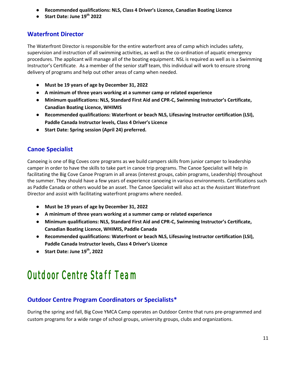- **Recommended qualifications: NLS, Class 4 Driver's Licence, Canadian Boating Licence**
- **Start Date: June 19th 2022**

#### **Waterfront Director**

The Waterfront Director is responsible for the entire waterfront area of camp which includes safety, supervision and instruction of all swimming activities, as well as the co-ordination of aquatic emergency procedures. The applicant will manage all of the boating equipment. NSL is required as well as is a Swimming Instructor's Certificate. As a member of the senior staff team, this individual will work to ensure strong delivery of programs and help out other areas of camp when needed.

- **Must be 19 years of age by December 31, 2022**
- **A minimum of three years working at a summer camp or related experience**
- **Minimum qualifications: NLS, Standard First Aid and CPR-C, Swimming Instructor's Certificate, Canadian Boating Licence, WHIMIS**
- **Recommended qualifications: Waterfront or beach NLS, Lifesaving Instructor certification (LSI), Paddle Canada Instructor levels, Class 4 Driver's Licence**
- **Start Date: Spring session (April 24) preferred.**

#### **Canoe Specialist**

Canoeing is one of Big Coves core programs as we build campers skills from junior camper to leadership camper in order to have the skills to take part in canoe trip programs. The Canoe Specialist will help in facilitating the Big Cove Canoe Program in all areas (interest groups, cabin programs, Leadership) throughout the summer. They should have a few years of experience canoeing in various environments. Certifications such as Paddle Canada or others would be an asset. The Canoe Specialist will also act as the Assistant Waterfront Director and assist with facilitating waterfront programs where needed.

- **Must be 19 years of age by December 31, 2022**
- **A minimum of three years working at a summer camp or related experience**
- **Minimum qualifications: NLS, Standard First Aid and CPR-C, Swimming Instructor's Certificate, Canadian Boating Licence, WHIMIS, Paddle Canada**
- **Recommended qualifications: Waterfront or beach NLS, Lifesaving Instructor certification (LSI), Paddle Canada Instructor levels, Class 4 Driver's Licence**
- **Start Date: June 19th, 2022**

### Outdoor Centre Staff Team

#### **Outdoor Centre Program Coordinators or Specialists\***

During the spring and fall, Big Cove YMCA Camp operates an Outdoor Centre that runs pre-programmed and custom programs for a wide range of school groups, university groups, clubs and organizations.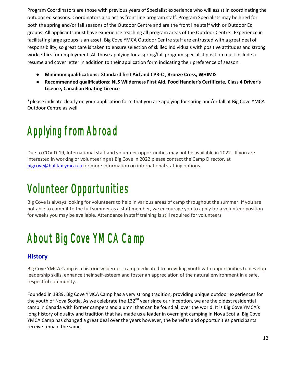Program Coordinators are those with previous years of Specialist experience who will assist in coordinating the outdoor ed seasons. Coordinators also act as front line program staff. Program Specialists may be hired for both the spring and/or fall seasons of the Outdoor Centre and are the front line staff with or Outdoor Ed groups. All applicants must have experience teaching all program areas of the Outdoor Centre. Experience in facilitating large groups is an asset. Big Cove YMCA Outdoor Centre staff are entrusted with a great deal of responsibility, so great care is taken to ensure selection of skilled individuals with positive attitudes and strong work ethics for employment. All those applying for a spring/fall program specialist position must include a resume and cover letter in addition to their application form indicating their preference of season.

- **Minimum qualifications: Standard first Aid and CPR-C** , **Bronze Cross, WHIMIS**
- **Recommended qualifications: NLS Wilderness First Aid, Food Handler's Certificate, Class 4 Driver's Licence, Canadian Boating Licence**

\*please indicate clearly on your application form that you are applying for spring and/or fall at Big Cove YMCA Outdoor Centre as well

# Applying from Abroad

Due to COVID-19, International staff and volunteer opportunities may not be available in 2022. If you are interested in working or volunteering at Big Cove in 2022 please contact the Camp Director, at [bigcove@halifax.ymca.ca](mailto:bigcove@halifax.ymca.ca) for more information on international staffing options.

# Volunteer Opportunities

Big Cove is always looking for volunteers to help in various areas of camp throughout the summer. If you are not able to commit to the full summer as a staff member, we encourage you to apply for a volunteer position for weeks you may be available. Attendance in staff training is still required for volunteers.

# About Big Cove YMCA Camp

#### **History**

Big Cove YMCA Camp is a historic wilderness camp dedicated to providing youth with opportunities to develop leadership skills, enhance their self-esteem and foster an appreciation of the natural environment in a safe, respectful community.

Founded in 1889, Big Cove YMCA Camp has a very strong tradition, providing unique outdoor experiences for the youth of Nova Scotia. As we celebrate the 132<sup>nd</sup> year since our inception, we are the oldest residential camp in Canada with former campers and alumni that can be found all over the world. It is Big Cove YMCA's long history of quality and tradition that has made us a leader in overnight camping in Nova Scotia. Big Cove YMCA Camp has changed a great deal over the years however, the benefits and opportunities participants receive remain the same.